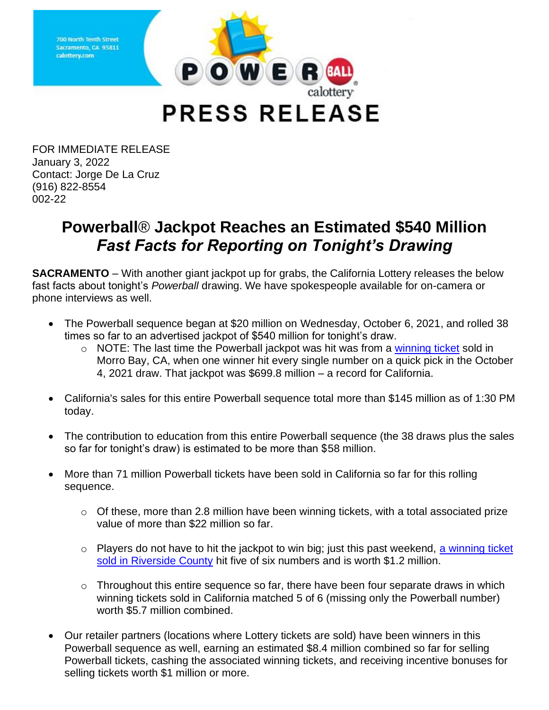

## **PRESS RELEASE**

FOR IMMEDIATE RELEASE January 3, 2022 Contact: Jorge De La Cruz (916) 822-8554 002-22

## **Powerball**® **Jackpot Reaches an Estimated \$540 Million** *Fast Facts for Reporting on Tonight's Drawing*

**SACRAMENTO** – With another giant jackpot up for grabs, the California Lottery releases the below fast facts about tonight's *Powerball* drawing. We have spokespeople available for on-camera or phone interviews as well.

- The Powerball sequence began at \$20 million on Wednesday, October 6, 2021, and rolled 38 times so far to an advertised jackpot of \$540 million for tonight's draw.
	- $\circ$  NOTE: The last time the Powerball jackpot was hit was from a [winning ticket](https://static.www.calottery.com/-/media/Project/calottery/PWS/Press-Releases/2021/DEC-2021/047-21-699-PB-Winner-Comes-Forward.pdf?rev=942e58eb53484e2b9b8a750b578f6729&hash=D9229FA1C06E53F39ED1CE56DDCABE6C) sold in Morro Bay, CA, when one winner hit every single number on a quick pick in the October 4, 2021 draw. That jackpot was \$699.8 million – a record for California.
- California's sales for this entire Powerball sequence total more than \$145 million as of 1:30 PM today.
- The contribution to education from this entire Powerball sequence (the 38 draws plus the sales so far for tonight's draw) is estimated to be more than \$58 million.
- More than 71 million Powerball tickets have been sold in California so far for this rolling sequence.
	- o Of these, more than 2.8 million have been winning tickets, with a total associated prize value of more than \$22 million so far.
	- $\circ$  Players do not have to hit the jackpot to win big; just this past weekend, a winning ticket [sold in Riverside County](https://static.www.calottery.com/-/media/Project/calottery/PWS/Press-Releases/2022/JAN-2022/00122-New-Years-Day-Millionaire.pdf?rev=76bd31bc69954913b5d5c4293bd8f921&hash=651B308B29C7A8AE697F68BCCBAE4241) hit five of six numbers and is worth \$1.2 million.
	- $\circ$  Throughout this entire sequence so far, there have been four separate draws in which winning tickets sold in California matched 5 of 6 (missing only the Powerball number) worth \$5.7 million combined.
- Our retailer partners (locations where Lottery tickets are sold) have been winners in this Powerball sequence as well, earning an estimated \$8.4 million combined so far for selling Powerball tickets, cashing the associated winning tickets, and receiving incentive bonuses for selling tickets worth \$1 million or more.